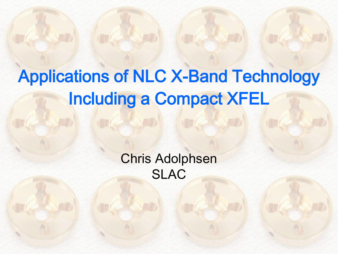### Applications of NLC X-Band Technology Including a Compact XFEL

Chris Adolphsen SLAC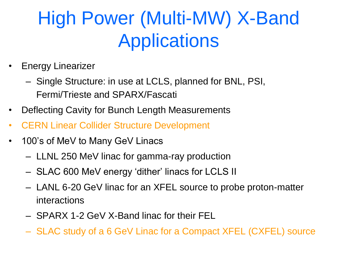### High Power (Multi-MW) X-Band **Applications**

- Energy Linearizer
	- Single Structure: in use at LCLS, planned for BNL, PSI, Fermi/Trieste and SPARX/Fascati
- Deflecting Cavity for Bunch Length Measurements
- CERN Linear Collider Structure Development
- 100's of MeV to Many GeV Linacs
	- LLNL 250 MeV linac for gamma-ray production
	- SLAC 600 MeV energy 'dither' linacs for LCLS II
	- LANL 6-20 GeV linac for an XFEL source to probe proton-matter interactions
	- SPARX 1-2 GeV X-Band linac for their FEL
	- SLAC study of a 6 GeV Linac for a Compact XFEL (CXFEL) source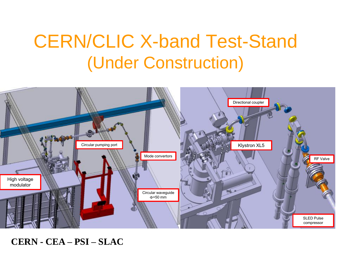#### CERN/CLIC X-band Test-Stand (Under Construction)



**CERN - CEA – PSI – SLAC**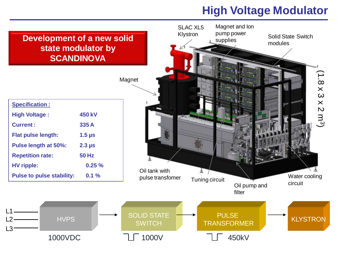#### **High Voltage Modulator**

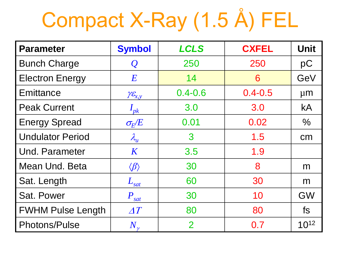## Compact X-Ray (1.5 Å) FEL

| <b>Parameter</b>         | <b>Symbol</b>              | <b>LCLS</b>    | <b>CXFEL</b> | <b>Unit</b> |
|--------------------------|----------------------------|----------------|--------------|-------------|
| <b>Bunch Charge</b>      | $\mathcal Q$               | 250            | 250          | pC          |
| <b>Electron Energy</b>   | E                          | 14             | 6            | GeV         |
| Emittance                | $\gamma \mathcal{E}_{x,y}$ | $0.4 - 0.6$    | $0.4 - 0.5$  | $\mu$ m     |
| <b>Peak Current</b>      | $I_{pk}$                   | 3.0            | 3.0          | <b>kA</b>   |
| <b>Energy Spread</b>     | $\sigma_{\!E\!}/\!E$       | 0.01           | 0.02         | $\%$        |
| <b>Undulator Period</b>  | $\lambda_u$                | 3              | 1.5          | cm          |
| <b>Und. Parameter</b>    | $\boldsymbol{K}$           | 3.5            | 1.9          |             |
| Mean Und. Beta           | $\langle \beta \rangle$    | 30             | 8            | m           |
| Sat. Length              | $L_{\underline{sat}}$      | 30<br>60       |              | m           |
| Sat. Power               | $P_{\underline{sat}}$      | 30             | 10           | <b>GW</b>   |
| <b>FWHM Pulse Length</b> | $\varDelta T$              | 80             | 80           | fs.         |
| Photons/Pulse            | $N_{\tiny \nu}$            | $\overline{2}$ | 0.7          | $10^{12}$   |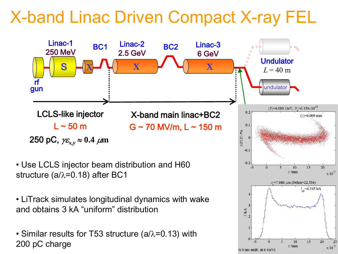#### X-band Linac Driven Compact X-ray FEL

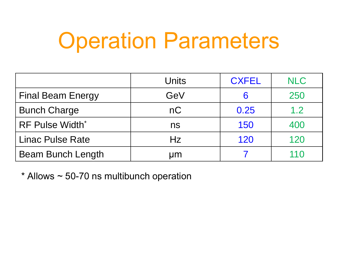## Operation Parameters

|                          | <b>Units</b> | <b>CXFEL</b> | <b>NLC</b> |
|--------------------------|--------------|--------------|------------|
| <b>Final Beam Energy</b> | GeV          |              | 250        |
| <b>Bunch Charge</b>      | nC           | 0.25         | 1.2        |
| <b>RF Pulse Width*</b>   | ns           | 150          | 400        |
| <b>Linac Pulse Rate</b>  | Hz           | 120          | 120        |
| <b>Beam Bunch Length</b> | μm           |              | 110        |

 $*$  Allows  $\sim$  50-70 ns multibunch operation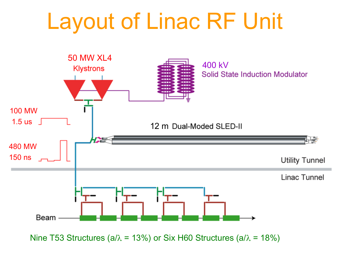# Layout of Linac RF Unit



Nine T53 Structures (a/ $\lambda$  = 13%) or Six H60 Structures (a/ $\lambda$  = 18%)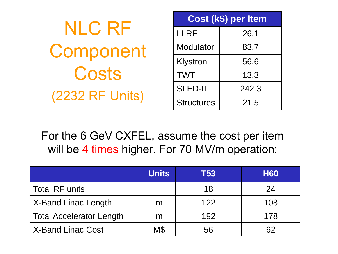| <b>NLC RF</b>          |  |  |
|------------------------|--|--|
| Component              |  |  |
| Costs                  |  |  |
| <b>(2232 RF Units)</b> |  |  |

| Cost (k\$) per Item |       |  |  |  |
|---------------------|-------|--|--|--|
| <b>LLRF</b>         | 26.1  |  |  |  |
| Modulator           | 83.7  |  |  |  |
| Klystron            | 56.6  |  |  |  |
| <b>TWT</b>          | 13.3  |  |  |  |
| <b>SLED-II</b>      | 242.3 |  |  |  |
| <b>Structures</b>   | 21.5  |  |  |  |

For the 6 GeV CXFEL, assume the cost per item will be 4 times higher. For 70 MV/m operation:

|                                 | <b>Units</b> | T53 | <b>H60</b> |
|---------------------------------|--------------|-----|------------|
| <b>Total RF units</b>           |              | 18  | 24         |
| X-Band Linac Length             | m            | 122 | 108        |
| <b>Total Accelerator Length</b> | m            | 192 | 178        |
| <b>X-Band Linac Cost</b>        | M\$          | 56  | 62         |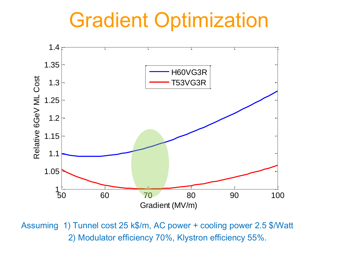### Gradient Optimization



Assuming 1) Tunnel cost 25 k\$/m, AC power + cooling power 2.5 \$/Watt 2) Modulator efficiency 70%, Klystron efficiency 55%.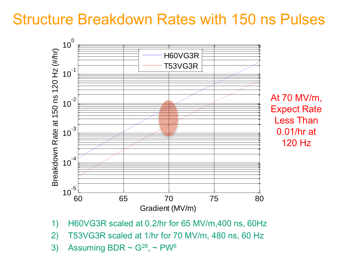#### Structure Breakdown Rates with 150 ns Pulses



- 1) H60VG3R scaled at 0.2/hr for 65 MV/m,400 ns, 60Hz
- 2) T53VG3R scaled at 1/hr for 70 MV/m, 480 ns, 60 Hz
- 3) Assuming BDR  $\sim$  G<sup>26</sup>,  $\sim$  PW<sup>6</sup>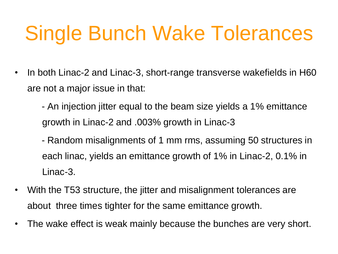## Single Bunch Wake Tolerances

- In both Linac-2 and Linac-3, short-range transverse wakefields in H60 are not a major issue in that:
	- An injection jitter equal to the beam size yields a 1% emittance growth in Linac-2 and .003% growth in Linac-3
	- Random misalignments of 1 mm rms, assuming 50 structures in each linac, yields an emittance growth of 1% in Linac-2, 0.1% in Linac-3.
- With the T53 structure, the jitter and misalignment tolerances are about three times tighter for the same emittance growth.
- The wake effect is weak mainly because the bunches are very short.